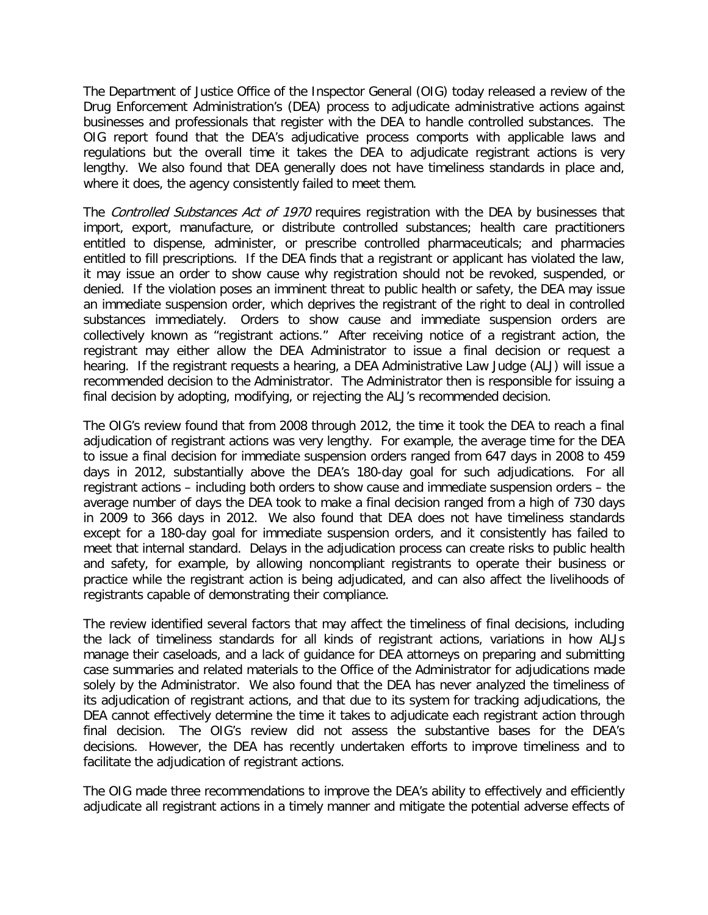The Department of Justice Office of the Inspector General (OIG) today released a review of the Drug Enforcement Administration's (DEA) process to adjudicate administrative actions against businesses and professionals that register with the DEA to handle controlled substances. The OIG report found that the DEA's adjudicative process comports with applicable laws and regulations but the overall time it takes the DEA to adjudicate registrant actions is very lengthy. We also found that DEA generally does not have timeliness standards in place and, where it does, the agency consistently failed to meet them.

The Controlled Substances Act of 1970 requires registration with the DEA by businesses that import, export, manufacture, or distribute controlled substances; health care practitioners entitled to dispense, administer, or prescribe controlled pharmaceuticals; and pharmacies entitled to fill prescriptions. If the DEA finds that a registrant or applicant has violated the law, it may issue an order to show cause why registration should not be revoked, suspended, or denied. If the violation poses an imminent threat to public health or safety, the DEA may issue an immediate suspension order, which deprives the registrant of the right to deal in controlled substances immediately. Orders to show cause and immediate suspension orders are collectively known as "registrant actions." After receiving notice of a registrant action, the registrant may either allow the DEA Administrator to issue a final decision or request a hearing. If the registrant requests a hearing, a DEA Administrative Law Judge (ALJ) will issue a recommended decision to the Administrator. The Administrator then is responsible for issuing a final decision by adopting, modifying, or rejecting the ALJ's recommended decision.

The OIG's review found that from 2008 through 2012, the time it took the DEA to reach a final adjudication of registrant actions was very lengthy. For example, the average time for the DEA to issue a final decision for immediate suspension orders ranged from 647 days in 2008 to 459 days in 2012, substantially above the DEA's 180-day goal for such adjudications. For all registrant actions – including both orders to show cause and immediate suspension orders – the average number of days the DEA took to make a final decision ranged from a high of 730 days in 2009 to 366 days in 2012. We also found that DEA does not have timeliness standards except for a 180-day goal for immediate suspension orders, and it consistently has failed to meet that internal standard. Delays in the adjudication process can create risks to public health and safety, for example, by allowing noncompliant registrants to operate their business or practice while the registrant action is being adjudicated, and can also affect the livelihoods of registrants capable of demonstrating their compliance.

The review identified several factors that may affect the timeliness of final decisions, including the lack of timeliness standards for all kinds of registrant actions, variations in how ALJs manage their caseloads, and a lack of guidance for DEA attorneys on preparing and submitting case summaries and related materials to the Office of the Administrator for adjudications made solely by the Administrator. We also found that the DEA has never analyzed the timeliness of its adjudication of registrant actions, and that due to its system for tracking adjudications, the DEA cannot effectively determine the time it takes to adjudicate each registrant action through final decision. The OIG's review did not assess the substantive bases for the DEA's decisions. However, the DEA has recently undertaken efforts to improve timeliness and to facilitate the adjudication of registrant actions.

The OIG made three recommendations to improve the DEA's ability to effectively and efficiently adjudicate all registrant actions in a timely manner and mitigate the potential adverse effects of